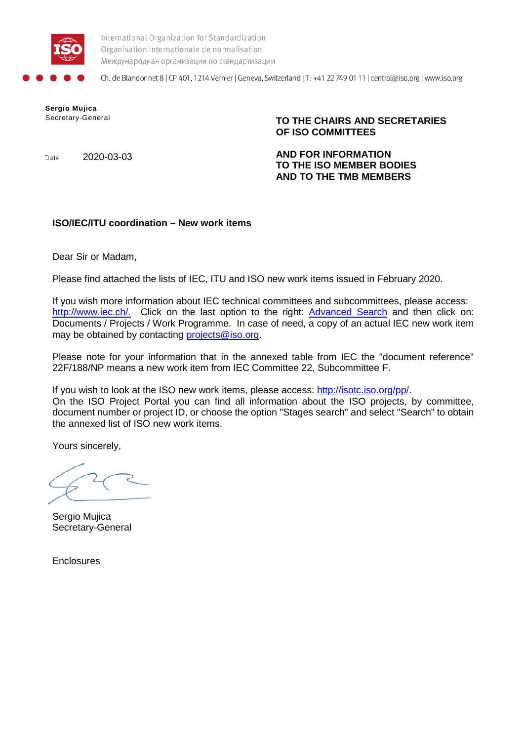

International Organization for Standardization Organisation internationale de normalisation Международная организация по стандартизации

Ch. de Blandonnet 8 | CP 401, 1214 Vernier | Geneva, Switzerland | T: +41 22 749 01 11 | central@iso.org | www.iso.org

**Sergio Mujica**

Secretary-General **TO THE CHAIRS AND SECRETARIES OF ISO COMMITTEES**

Date 2020-03-03 **AND FOR INFORMATION TO THE ISO MEMBER BODIES AND TO THE TMB MEMBERS**

## **ISO/IEC/ITU coordination – New work items**

Dear Sir or Madam,

Please find attached the lists of IEC, ITU and ISO new work items issued in February 2020.

If you wish more information about IEC technical committees and subcommittees, please access: [http://www.iec.ch/.](http://www.iec.ch/) Click on the last option to the right: [Advanced Search](http://www.iec.ch/dyn/www/f?p=103:99:0::::FSP_LANG_ID:25) and then click on: Documents / Projects / Work Programme. In case of need, a copy of an actual IEC new work item may be obtained by contacting [projects@iso.org.](mailto:projects@iso.org)

Please note for your information that in the annexed table from IEC the "document reference" 22F/188/NP means a new work item from IEC Committee 22, Subcommittee F.

If you wish to look at the ISO new work items, please access: [http://isotc.iso.org/pp/.](http://isotc.iso.org/pp/) On the ISO Project Portal you can find all information about the ISO projects, by committee, document number or project ID, or choose the option "Stages search" and select "Search" to obtain the annexed list of ISO new work items.

Yours sincerely,

Sergio Mujica Secretary-General

**Enclosures**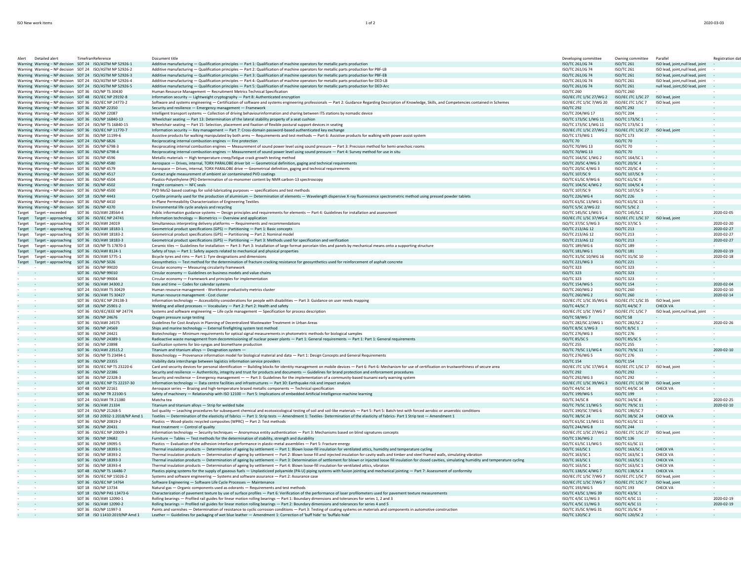|  | 2020-03-03 |
|--|------------|

| Detailed alert<br>Alert                                                                                         | <b>Timefran Reference</b>                        | Document title                                                                                                                                                                                                                                                                                                              | Developing committee                           | Owning committee                       | Parallel                            | Registration dat |
|-----------------------------------------------------------------------------------------------------------------|--------------------------------------------------|-----------------------------------------------------------------------------------------------------------------------------------------------------------------------------------------------------------------------------------------------------------------------------------------------------------------------------|------------------------------------------------|----------------------------------------|-------------------------------------|------------------|
| Warning Warning - NP decision SDT 24 ISO/ASTM NP 52926-1                                                        |                                                  | Additive manufacturing - Qualification principles - Part 1: Qualification of machine operators for metallic parts production                                                                                                                                                                                                | ISO/TC 261/JG 74                               | ISO/TC 261                             | ISO lead, joint, null lead, joint   |                  |
| Warning Warning - NP decision SDT 24 ISO/ASTM NP 52926-2                                                        |                                                  | Additive manufacturing - Qualification principles - Part 2: Qualification of machine operators for metallic parts production for PBF-LB                                                                                                                                                                                     | ISO/TC 261/JG 74                               | <b>ISO/TC 261</b>                      | ISO lead, joint, null lead, joint   |                  |
| Warning Warning - NP decision SDT 24 ISO/ASTM NP 52926-3                                                        |                                                  | Additive manufacturing - Qualification principles - Part 3: Qualification of machine operators for metallic parts production for PBF-EB                                                                                                                                                                                     | ISO/TC 261/JG 74                               | ISO/TC 261                             | ISO lead, joint, null lead, joint   |                  |
| Warning Warning - NP decision SDT 24 ISO/ASTM NP 52926-4                                                        |                                                  | Additive manufacturing - Qualification principles - Part 4: Qualification of machine operators for metallic parts production for DED-LB                                                                                                                                                                                     | ISO/TC 261/JG 74                               | <b>ISO/TC 261</b>                      | ISO lead, joint, null lead, joint   | $\sim$           |
| Warning Warning - NP decision SDT 24 ISO/ASTM NP 52926-5                                                        |                                                  | Additive manufacturing - Qualification principles - Part 5: Qualification of machine operators for metallic parts production for DED-Arc                                                                                                                                                                                    | ISO/TC 261/JG 74                               | <b>ISO/TC 261</b>                      | null lead, joint, ISO lead, joint - |                  |
| Warning Warning - NP decision SDT 36 ISO/NP TS 30430                                                            |                                                  | Human Resource Management - Recruitment Metrics Technical Specification                                                                                                                                                                                                                                                     | <b>ISO/TC 260</b>                              | <b>ISO/TC 260</b>                      |                                     |                  |
| Warning Warning - NP decision SDT 48 ISO/IEC NP 29192-8                                                         |                                                  | Information security - Lightweight cryptography - Part 8: Authenticated encryption                                                                                                                                                                                                                                          | ISO/IEC JTC 1/SC 27/WG 2                       | ISO/IEC JTC 1/SC 27 ISO lead, joint    |                                     |                  |
| Warning Warning - NP decision SDT 36 ISO/IEC NP 24773-2                                                         |                                                  | Software and systems engineering - Certification of software and systems engineering professionals - Part 2: Guidance Regarding Description of Knowledge, Skills, and Competencies contained in Schemes                                                                                                                     | ISO/IEC ITC 1/SC 7/WG 20                       | ISO/IEC ITC 1/SC 7                     | ISO lead, joint                     |                  |
| Warning Warning - NP decision SDT 36 ISO/NP 22350                                                               |                                                  | Security and resilience - Emergency management - Framework                                                                                                                                                                                                                                                                  | <b>ISO/TC 292</b>                              | <b>ISO/TC 292</b>                      |                                     |                  |
| Warning Warning - NP decision SDT 36 ISO/NP 22087                                                               |                                                  | Intelligent transport systems - Collection of driving behaviourinformation and sharing between ITS stations by nomadic device                                                                                                                                                                                               | ISO/TC 204/WG 17                               | <b>ISO/TC 204</b>                      |                                     | $\sim$           |
|                                                                                                                 |                                                  |                                                                                                                                                                                                                                                                                                                             |                                                |                                        |                                     |                  |
| Warning Warning - NP decision SDT 36 ISO/NP 16840-13<br>Warning Warning - NP decision SDT 24 ISO/NP TS 16840-15 |                                                  | Wheelchair seating - Part 13: Determination of the lateral stability property of a seat cushion                                                                                                                                                                                                                             | ISO/TC 173/SC 1/WG 11<br>ISO/TC 173/SC 1/WG 11 | ISO/TC 173/SC 1                        |                                     |                  |
|                                                                                                                 |                                                  | Wheelchair seating - Part 15: Selection, placement and fixation of flexible postural support devices in seating                                                                                                                                                                                                             |                                                | ISO/TC 173/SC 1                        |                                     | $\sim$           |
| Warning Warning - NP decision SDT 36 ISO/IEC NP 11770-7                                                         |                                                  | Information security - Key management - Part 7: Cross-domain password-based authenticated key exchange                                                                                                                                                                                                                      | ISO/IEC JTC 1/SC 27/WG 2                       | ISO/IEC JTC 1/SC 27 ISO lead, joint    |                                     |                  |
| Warning Warning - NP decision SDT 36 ISO/NP 11199-6                                                             |                                                  | Assistive products for walking manipulated by both arms - Requirements and test methods - Part 6: Assistive products for walking with power assist system                                                                                                                                                                   | ISO/TC 173/WG 1                                | <b>ISO/TC 173</b>                      | $\sim$                              |                  |
| Warning Warning - NP decision SDT 24 ISO/NP 6826                                                                |                                                  | Reciprocating internal combustion engines - Fire protection                                                                                                                                                                                                                                                                 | ISO/TC 70                                      | ISO/TC 70                              |                                     |                  |
| Warning Warning - NP decision SDT 36 ISO/NP 6798-3                                                              |                                                  | Reciprocating internal combustion engines - Measurement of sound power level using sound pressure - Part 3: Precision method for hemi-anechoic rooms                                                                                                                                                                        | ISO/TC 70/WG 13                                | <b>ISO/TC 70</b>                       |                                     |                  |
| Warning Warning - NP decision SDT 36 ISO/NP 6798-4                                                              |                                                  | Reciprocating internal combustion engines - Measurement of sound power level using sound pressure - Part 4: Survey method for use in situ                                                                                                                                                                                   | ISO/TC 70/WG 13                                | ISO/TC 70                              |                                     |                  |
| Warning Warning - NP decision SDT 36 ISO/NP 4596                                                                |                                                  | Metallic materials - High temperature creep/fatigue crack growth testing method                                                                                                                                                                                                                                             | ISO/TC 164/SC 1/WG 2                           | ISO/TC 164/SC 1                        | $\sim$                              | $\sim$           |
| Warning Warning - NP decision SDT 36 ISO/NP 4580                                                                |                                                  | Aerospace - Drives, internal, TORX PARALOBE driver bit - Geometrical definition, gaging and technical requirements                                                                                                                                                                                                          | ISO/TC 20/SC 4/WG 3                            | ISO/TC 20/SC 4                         |                                     |                  |
| Warning Warning - NP decision SDT 36 ISO/NP 4579                                                                |                                                  | Aerospace - Drives, internal, TORX PARALOBE drive - Geometrical definition, gaging and technical requirements                                                                                                                                                                                                               | ISO/TC 20/SC 4/WG 3                            | <b>ISO/TC 20/SC 4</b>                  | <b>Section</b>                      | $\sim$           |
| Warning Warning - NP decision SDT 36 ISO/NP 4517                                                                |                                                  | Contact angle measurement of ambient air contaminated PVD coatings                                                                                                                                                                                                                                                          | ISO/TC 107/SC 9                                | ISO/TC 107/SC 9                        |                                     |                  |
| Warning Warning - NP decision SDT 36 ISO/NP 4504                                                                |                                                  | Plastics-Polyethylene (PE)-Determination of co-monomer content by NMR carbon-13 spectroscopy                                                                                                                                                                                                                                | ISO/TC 61/SC 9/WG 6                            | ISO/TC 61/SC 9                         | $\sim$                              |                  |
| Warning Warning - NP decision SDT 36 ISO/NP 4502                                                                |                                                  | Freight containers - NFC seals                                                                                                                                                                                                                                                                                              | ISO/TC 104/SC 4/WG 2                           | ISO/TC 104/SC 4                        |                                     |                  |
| Warning Warning - NP decision SDT 36 ISO/NP 4500                                                                |                                                  | PVD MoS2-based coatings for solid-lubricating purposes - specifications and test methods                                                                                                                                                                                                                                    | ISO/TC 107/SC 9                                | ISO/TC 107/SC 9                        | $\sim$                              |                  |
| Warning Warning - NP decision SDT 18 ISO/NP 4443                                                                |                                                  | Cryolite primarily used for the production of aluminium - Determination of elements - Wavelength dispersive X-ray fluorescence spectrometric method using pressed powder tablets                                                                                                                                            | ISO/TC 226/WG 4                                | <b>ISO/TC 226</b>                      |                                     |                  |
| Warning Warning - NP decision SDT 36 ISO/NP 4410                                                                |                                                  | In-Plane Permeability Characterization of Engineering Textiles                                                                                                                                                                                                                                                              | ISO/TC 61/SC 13/WG 1                           | ISO/TC 61/SC 13                        | $\sim$                              | $\sim$           |
| Warning Warning - NP decision SDT 36 ISO/NP 4370                                                                |                                                  | Environmental life cycle analysis and recycling                                                                                                                                                                                                                                                                             | ISO/TC 5/SC 2/WG 22                            | ISO/TC 5/SC 2                          |                                     |                  |
| Target Target - exceeded                                                                                        | SDT 36 ISO/AWI 28564-4                           | Public information guidance systems - Design principles and requirements for elements - Part 4: Guidelines for installation and assessment                                                                                                                                                                                  | ISO/TC 145/SC 1/WG 5                           | ISO/TC 145/SC 1                        |                                     | 2020-02-05       |
| Target Target - approaching SDT 36 ISO/IEC NP 24741                                                             |                                                  | Information technology - Biometrics - Overview and application                                                                                                                                                                                                                                                              | ISO/IEC JTC 1/SC 37/WG 4                       | ISO/IEC JTC 1/SC 37 ISO lead, joint    |                                     |                  |
| Target Target - approaching SDT 24 ISO/AWI 24019                                                                |                                                  | Simultaneous interpreting delivery platforms - Requirements and recommendations                                                                                                                                                                                                                                             | ISO/TC 37/SC 5/WG 3                            | ISO/TC 37/SC 5                         | $\sim$                              | 2020-02-20       |
| Target Target - approaching SDT 36 ISO/AWI 18183-1                                                              |                                                  | Geometrical product specifications (GPS) - Partitioning - Part 1: Basic concepts                                                                                                                                                                                                                                            | ISO/TC 213/AG 12                               | <b>ISO/TC 213</b>                      | $\sim$                              | 2020-02-27       |
| Target Target - approaching SDT 36 ISO/AWI 18183-2                                                              |                                                  | Geometrical product specifications (GPS) - Partitioning - Part 2: Nominal model                                                                                                                                                                                                                                             | ISO/TC 213/AG 12                               | <b>ISO/TC 213</b>                      |                                     | 2020-02-27       |
| Target Target - approaching SDT 36 ISO/AWI 18183-3                                                              |                                                  | Geometrical product specifications (GPS) - Partitioning - Part 3: Methods used for specification and verification                                                                                                                                                                                                           | ISO/TC 213/AG 12                               | <b>ISO/TC 213</b>                      | $\sim$                              | 2020-02-27       |
| Target Target - approaching SDT 18 ISO/NP TS 17870-3                                                            |                                                  | Ceramic tiles - Guidelines for installation - Part 3: Part 3: Installation of large format porcelain tiles and panels by mechanical means onto a supporting structure                                                                                                                                                       | ISO/TC 189/WG 6                                | <b>ISO/TC 189</b>                      | $\sim$                              |                  |
|                                                                                                                 |                                                  |                                                                                                                                                                                                                                                                                                                             | ISO/TC 181/WG 1                                |                                        |                                     |                  |
| Target Target - approaching SDT 36 ISO/AWI 8124-1                                                               |                                                  | Safety of toys - Part 1: Safety aspects related to mechanical and physical properties                                                                                                                                                                                                                                       |                                                | ISO/TC 181                             | $\sim$                              | 2020-02-19       |
| Target Target - approaching SDT 36 ISO/AWI 5775-1                                                               |                                                  | Bicycle tyres and rims - Part 1: Tyre designations and dimensions                                                                                                                                                                                                                                                           | ISO/TC 31/SC 10/WG 16                          | ISO/TC 31/SC 10                        |                                     | 2020-02-18       |
| Target Target - approaching SDT 36 ISO/NP 5026                                                                  |                                                  | Geosynthetics - Test method for the determination of fracture cracking resistance for geosynthetics used for reinforcement of asphalt concrete                                                                                                                                                                              | ISO/TC 221/WG 3                                | <b>ISO/TC 221</b>                      |                                     |                  |
|                                                                                                                 | SDT 36 ISO/NP 99020                              | Circular economy - Measuring circularity framework                                                                                                                                                                                                                                                                          | ISO/TC 323                                     | <b>ISO/TC 323</b>                      | $\sim$                              | $\sim$           |
| e i<br>$\sim$                                                                                                   | SDT 36 ISO/NP 99010                              | Circular economy - Guidelines on business models and value chains                                                                                                                                                                                                                                                           | <b>ISO/TC 323</b>                              | <b>ISO/TC 323</b>                      |                                     |                  |
|                                                                                                                 | SDT 36 ISO/NP 99004                              | Circular economy - Framework and principles for implementation                                                                                                                                                                                                                                                              | <b>ISO/TC 323</b>                              | <b>ISO/TC 323</b>                      | $\sim$                              |                  |
| <b>Contract</b>                                                                                                 | SDT 36 ISO/AWI 34300.2                           | Date and time - Codes for calendar systems                                                                                                                                                                                                                                                                                  | ISO/TC 154/WG 5                                | <b>ISO/TC 154</b>                      |                                     | 2020-02-04       |
| $\sim$                                                                                                          | SDT 24 ISO/AWI TS 30429                          | Human resource management - Workforce productivity metrics cluster                                                                                                                                                                                                                                                          | ISO/TC 260/WG 2                                | <b>ISO/TC 260</b>                      | $\sim$                              | 2020-02-10       |
| ×.<br>$\sim$                                                                                                    | SDT 36 ISO/AWI TS 30427                          | Human resource management - Cost cluster                                                                                                                                                                                                                                                                                    | ISO/TC 260/WG 2                                | <b>ISO/TC 260</b>                      |                                     | 2020-02-14       |
| $\sim$                                                                                                          | SDT 36 ISO/IEC NP 29138-3                        | Information technology - Accessibility considerations for people with disabilities - Part 3: Guidance on user needs mapping                                                                                                                                                                                                 | ISO/IEC JTC 1/SC 35/WG 6                       | ISO/IEC JTC 1/SC 35 ISO lead, joint    |                                     |                  |
| $\sim$<br>$\sim$                                                                                                | SDT 18 ISO/NP 25901-2                            | Welding and allied processes - Vocabulary - Part 2: Part 2: Health and safety                                                                                                                                                                                                                                               | ISO/TC 44/SC 7                                 | ISO/TC 44/SC 7                         | CHECK VA                            |                  |
| $\sim$                                                                                                          | SDT 36 ISO/IEC/IEEE NP 24774                     | Systems and software engineering - Life cycle management - Specification for process description                                                                                                                                                                                                                            | ISO/IEC JTC 1/SC 7/WG 7                        | ISO/IEC JTC 1/SC 7                     | ISO lead, joint, null lead, joint   | $\sim$           |
| k.<br>$\sim$                                                                                                    | SDT 36 ISO/NP 24676                              | Oxygen pressure surge testing                                                                                                                                                                                                                                                                                               | ISO/TC 58/WG 7                                 | ISO/TC 58                              |                                     |                  |
|                                                                                                                 | SDT 36 ISO/AWI 24575                             | Guidelines for Cost Analysis in Planning of Decentralized Wastewater Treatment in Urban Areas                                                                                                                                                                                                                               |                                                |                                        |                                     |                  |
| e i<br>$\sim$                                                                                                   | SDT 36 ISO/NP 24569                              |                                                                                                                                                                                                                                                                                                                             |                                                |                                        |                                     |                  |
|                                                                                                                 |                                                  |                                                                                                                                                                                                                                                                                                                             | ISO/TC 282/SC 2/JWG 1                          | ISO/TC 282/SC 2<br>ISO/TC 8/SC 1       |                                     | 2020-02-26       |
| $\sim$                                                                                                          | SDT 36 ISO/NP 24421                              | Ships and marine technology - External firefighting system test method                                                                                                                                                                                                                                                      | ISO/TC 8/SC 1/WG 3                             |                                        | $\sim$                              |                  |
|                                                                                                                 |                                                  | Biotechnology - Minimum requirements for optical signal measurements in photometric methods for biological samples                                                                                                                                                                                                          | ISO/TC 276/WG 3                                | <b>ISO/TC 276</b>                      |                                     |                  |
| e i<br>$\sim$ $-$                                                                                               | SDT 36 ISO/NP 24389-1                            | Radioactive waste management from decommissioning of nuclear power plants - Part 1: General requirements - Part 1: Part 1: General requirements                                                                                                                                                                             | <b>ISO/TC 85/SC 5</b>                          | <b>ISO/TC 85/SC 5</b>                  | $\sim$                              |                  |
| $\sim$<br>$\sim$                                                                                                | SDT 36 ISO/NP 23898<br>SDT 36 ISO/AWI 23515.2    | Gasification systems for bio-syngas and biomethane production<br>Titanium and titanium alloys - Designation system -                                                                                                                                                                                                        | <b>ISO/TC 255</b>                              | <b>ISO/TC 255</b><br>ISO/TC 79/SC 11   | $\sim$ 100                          | 2020-02-10       |
|                                                                                                                 |                                                  |                                                                                                                                                                                                                                                                                                                             | ISO/TC 79/SC 11/WG 4                           |                                        |                                     |                  |
| $\sim$<br>$\sim$                                                                                                | SDT 36 ISO/NP TS 23494-1<br>SDT 36 ISO/NP 23355  | Biotechnology - Provenance information model for biological material and data - Part 1: Design Concepts and General Requirements                                                                                                                                                                                            | ISO/TC 276/WG 5<br><b>ISO/TC 154</b>           | <b>ISO/TC 276</b><br><b>ISO/TC 154</b> | $\sim$                              |                  |
| k.                                                                                                              |                                                  | Visibility data interchange between logistics information service providers                                                                                                                                                                                                                                                 |                                                |                                        |                                     |                  |
|                                                                                                                 | SDT 36 ISO/IEC NP TS 23220-6                     | Card and security devices for personal identification - Building blocks for identity management on mobile devices - Part 6: Part 6: Mechanism for use of certification on trustworthiness of secure area                                                                                                                    | ISO/IEC JTC 1/SC 17/WG 4                       | ISO/IEC JTC 1/SC 17 ISO lead, joint    |                                     |                  |
| e i<br>$\sim$                                                                                                   | SDT 36 ISO/NP 22386                              | Security and resilience - Authenticity, integrity and trust for products and documents - Guidelines for brand protection and enforcement procedures                                                                                                                                                                         | <b>ISO/TC 292</b>                              | <b>ISO/TC 292</b>                      |                                     |                  |
| $\sim$                                                                                                          | SDT 36 ISO/NP 22328-3                            | Security and resilience - Emergency management - - Part 3: Guidelines for the implementation of a community-based tsunami early warning system                                                                                                                                                                              | ISO/TC 292/WG 3                                | <b>ISO/TC 292</b>                      |                                     |                  |
| e i<br>$\sim$ 100 $\pm$                                                                                         | SDT 18 ISO/IEC NP TS 22237-30                    | Information technology - Data centre facilities and infrastructures - Part 30: Earthquake risk and impact analysis                                                                                                                                                                                                          | ISO/IEC JTC 1/SC 39/WG 3                       | ISO/IEC JTC 1/SC 39 ISO lead, joint    |                                     | $\sim$           |
|                                                                                                                 | SDT 48 ISO/NP 22161                              | Aerospace series - Brazing and high-temperature brazed metallic components - Technical specification                                                                                                                                                                                                                        | ISO/TC 44/SC 14                                | ISO/TC 44/SC 14                        | <b>CHECK VA</b>                     |                  |
| a i<br>$\sim$                                                                                                   | SDT 36 ISO/NP TR 22100-5                         | Safety of machinery - Relationship with ISO 12100 - Part 5: Implications of embedded Artificial Intelligence-machine learning                                                                                                                                                                                               | ISO/TC 199/WG 5                                | <b>ISO/TC 199</b>                      |                                     |                  |
| $\sim$                                                                                                          | SDT 24 ISO/AWI TR 21380                          | Matcha tea                                                                                                                                                                                                                                                                                                                  | ISO/TC 34/SC 8                                 | ISO/TC 34/SC 8                         | $\sim$                              | 2020-02-25       |
| e i<br>$\sim$                                                                                                   | SDT 36 ISO/AWI 21334                             | Titanium and titanium alloys - Strip for welded tube                                                                                                                                                                                                                                                                        | ISO/TC 79/SC 11/WG 5                           | ISO/TC 79/SC 11                        |                                     | 2020-02-10       |
|                                                                                                                 | SDT 24 ISO/NP 21268-5                            | Soil quality - Leaching procedures for subsequent chemical and ecotoxicological testing of soil and soil-like materials - Part 5: Part 5: Batch test with forced aerobic or anaerobic conditions                                                                                                                            | ISO/TC 190/SC 7/WG 6                           | ISO/TC 190/SC 7                        |                                     |                  |
| ×.<br>$\sim$                                                                                                    | SDT 18 ISO 20932-1:2018/NP Amd 1                 | Textiles - Determination of the elasticity of fabrics - Part 1: Strip tests - Amendment 1: Textiles- Determination of the elasticity of fabrics- Part 1 Strip test - Amendment 1                                                                                                                                            | ISO/TC 38/SC 24                                | ISO/TC 38/SC 24                        | <b>CHECK VA</b>                     |                  |
| $\sim$                                                                                                          | SDT 36 ISO/NP 20819-2                            | Plastics - Wood-plastic recycled composites (WPRC) - Part 2: Test methods                                                                                                                                                                                                                                                   | ISO/TC 61/SC 11/WG 11                          | ISO/TC 61/SC 11                        |                                     |                  |
| e i<br>$\sim$ 10 $\pm$                                                                                          | SDT 36 ISO/NP 20431                              | Heat treatment - Control of quality                                                                                                                                                                                                                                                                                         | ISO/TC 244/WG 8                                | <b>ISO/TC 244</b>                      |                                     |                  |
|                                                                                                                 | SDT 36 ISO/IEC NP 20009-3                        | Information technology - Security techniques - Anonymous entity authentication - Part 3: Mechanisms based on blind signatures concepts                                                                                                                                                                                      | ISO/IEC JTC 1/SC 27/WG 2                       | ISO/IEC JTC 1/SC 27 ISO lead, joint    |                                     |                  |
| ×.<br>$\sim$                                                                                                    | SDT 36 ISO/NP 19682                              | Furniture - Tables - Test methods for the determination of stability, strength and durability                                                                                                                                                                                                                               | ISO/TC 136/WG 2                                | <b>ISO/TC 136</b>                      |                                     |                  |
| $\sim$                                                                                                          | SDT 36 ISO/NP 19095-5                            | Plastics - Evaluation of the adhesion interface performance in plastic-metal assemblies - Part 5: Fracture energy                                                                                                                                                                                                           | ISO/TC 61/SC 11/WG 5                           | ISO/TC 61/SC 11                        |                                     | $\sim$           |
| e i<br>$\sim$                                                                                                   | SDT 36 ISO/NP 18393-1                            | Thermal insulation products - Determination of ageing by settlement - Part 1: Blown loose-fill insulation for ventilated attics, humidity and temperature cycling                                                                                                                                                           | ISO/TC 163/SC 1                                | ISO/TC 163/SC 1                        | <b>CHECK VA</b>                     |                  |
|                                                                                                                 | SDT 36 ISO/NP 18393-2                            | Thermal insulation products - Determination of ageing by settlement - Part 2: Blown loose fill and injected insulation for cavity walls and timber and steel framed walls, simulating vibration                                                                                                                             | ISO/TC 163/SC 1                                | ISO/TC 163/SC 1                        | CHECK VA                            |                  |
| e i<br>$\sim$                                                                                                   | SDT 36 ISO/NP 18393-3                            | Thermal insulation products - Determination of ageing by settlement - Part 3: Determination of settlement for blown or injected loose fill insulation for closed cavities, simulating humidity and temperature cycling                                                                                                      | ISO/TC 163/SC 1                                | ISO/TC 163/SC 1                        | <b>CHECK VA</b>                     |                  |
| $\sim$                                                                                                          | SDT 36 ISO/NP 18393-4                            | Thermal insulation products - Determination of ageing by settlement - Part 4: Blown loose-fill insulation for ventilated attics, vibration                                                                                                                                                                                  | ISO/TC 163/SC 1                                | ISO/TC 163/SC 1                        | CHECK VA                            |                  |
| <b>Contractor</b>                                                                                               | SDT 48 ISO/NP TS 16486-7                         | Plastics piping systems for the supply of gaseous fuels - Unplasticized polyamide (PA-U) piping systems with fusion jointing and mechanical jointing - Part 7: Assessment of conformity                                                                                                                                     | ISO/TC 138/SC 4/WG 7                           | ISO/TC 138/SC 4                        | <b>CHECK VA</b>                     | $\sim$           |
|                                                                                                                 | SDT 36 ISO/IEC NP 15026-2                        | Systems and software engineering - Systems and software assurance - Part 2: Assurance case                                                                                                                                                                                                                                  | ISO/IEC JTC 1/SC 7/WG 7                        | ISO/IEC JTC 1/SC 7                     | ISO lead, joint                     |                  |
|                                                                                                                 | SDT 36 ISO/IEC NP 14764                          | Software Engineering - Software Life Cycle Processes - Maintenance                                                                                                                                                                                                                                                          | ISO/IEC JTC 1/SC 7/WG 7                        |                                        | ISO lead, joint                     |                  |
| $\sim$                                                                                                          | SDT 18 ISO/NP 13734                              | Natural gas - Organic components used as odorants - Requirements and test methods                                                                                                                                                                                                                                           | ISO/TC 193/WG 5                                | ISO/IEC JTC 1/SC 7<br>ISO/TC 193       | CHECK VA                            |                  |
| a i<br>$\sim$                                                                                                   | SDT 18 ISO/NP PAS 13473-6                        |                                                                                                                                                                                                                                                                                                                             | ISO/TC 43/SC 1/WG 39                           | ISO/TC 43/SC 1                         |                                     |                  |
| $\sim$                                                                                                          |                                                  | Characterization of pavement texture by use of surface profiles - Part 6: Verification of the performance of laser profilometers used for pavement texture measurements<br>Rolling bearings - Profiled rail guides for linear motion rolling bearings - Part 1: Boundary dimensions and tolerances for series 1, 2 and 3    |                                                |                                        |                                     | 2020-02-19       |
| $\sim$                                                                                                          | SDT 36 ISO/AWI 12090-1<br>SDT 36 ISO/AWI 12090-2 |                                                                                                                                                                                                                                                                                                                             | ISO/TC 4/SC 11/WG 3<br>ISO/TC 4/SC 11/WG 3     | ISO/TC 4/SC 11<br>ISO/TC 4/SC 11       |                                     | 2020-02-19       |
| $\sim$<br>$\sim$                                                                                                | SDT 36 ISO/NP 11997-3                            | Rolling bearings - Profiled rail guides for linear motion rolling bearings - Part 2: Boundary dimensions and tolerances for series 4 and 5<br>Paints and varnishes - Determination of resistance to cyclic corrosion conditions - Part 3: Testing of coating systems on materials and components in automotive construction | ISO/TC 35/SC 9/WG 31                           | ISO/TC 35/SC 9                         | $\sim$                              |                  |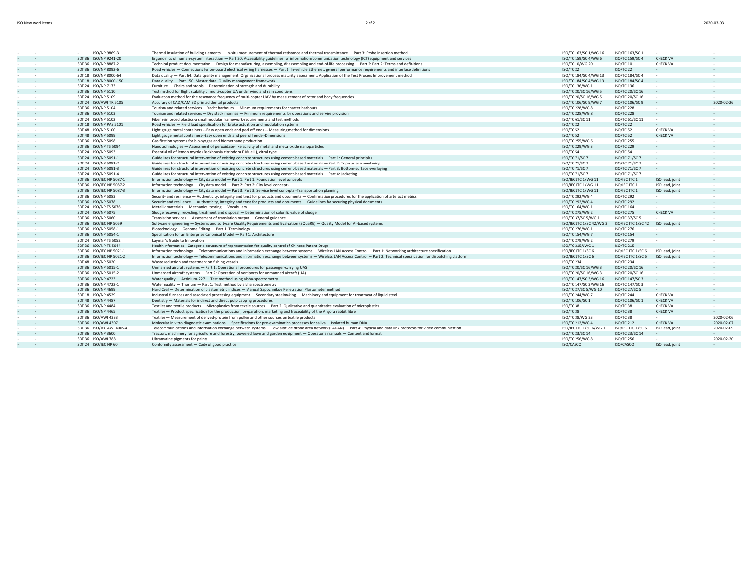| 2020-03-03 |
|------------|
|            |

|                  | ISO/NP 9869-3             | Thermal insulation of building elements - In-situ measurement of thermal resistance and thermal transmittance - Part 3: Probe insertion method                                | ISO/TC 163/SC 1/WG 16              | ISO/TC 163/SC 1                     |                  |            |
|------------------|---------------------------|-------------------------------------------------------------------------------------------------------------------------------------------------------------------------------|------------------------------------|-------------------------------------|------------------|------------|
| $\sim$ 100 $\pm$ | SDT 36 ISO/NP 9241-20     | Ergonomics of human-system interaction - Part 20: Accessibility guidelines for information/communication technology (ICT) equipment and services                              | ISO/TC 159/SC 4/WG 6               | ISO/TC 159/SC 4                     | <b>CHECK VA</b>  |            |
| $\sim$           | SDT 36 ISO/NP 8887-2      | Technical product documentation - Design for manufacturing, assembling, disassembling and end-of-life processing - Part 2: Part 2: Terms and definitions                      | ISO/TC 10/WG 20                    | ISO/TC 10                           | <b>CHECK VA</b>  |            |
|                  | SDT 36 ISO/NP 8092-6      | Road vehicles - Connections for on-board electrical wiring harnesses - Part 6: In-vehicle Ethernet, general performance requirements and interface definitions                | ISO/TC 22                          | ISO/TC 22                           |                  |            |
| $\sim$           | SDT 18 ISO/NP 8000-64     | Data quality - Part 64: Data quality management: Organizational process maturity assessment: Application of the Test Process Improvement method                               | ISO/TC 184/SC 4/WG 13              | ISO/TC 184/SC 4                     | $\sim$           | $\sim$     |
| $\sim$ 100 $\pm$ | SDT 18 ISO/NP 8000-150    | Data quality - Part 150: Master data: Quality management framework                                                                                                            | ISO/TC 184/SC 4/WG 13              | ISO/TC 184/SC 4                     | <b>College</b>   |            |
| <b>Contract</b>  | SDT 24 ISO/NP 7173        | Furniture - Chairs and stools - Determination of strength and durability                                                                                                      | ISO/TC 136/WG 1                    | <b>ISO/TC 136</b>                   |                  |            |
| $\sim$           | SDT 36 ISO/NP 5110        | Test method for flight stability of multi-copter UA under wind and rain conditions                                                                                            | ISO/TC 20/SC 16/WG 5               | ISO/TC 20/SC 16                     | $\sim$           |            |
| $\sim$           | SDT 24 ISO/NP 5109        | Evaluation method for the resonance frequency of multi-copter UAV by measurement of rotor and body frequencies                                                                | ISO/TC 20/SC 16/WG 5               | ISO/TC 20/SC 16                     | <b>College</b>   |            |
| <b>Contract</b>  | SDT 24 ISO/AWI TR 5105    | Accuracy of CAD/CAM 3D printed dental products                                                                                                                                | ISO/TC 106/SC 9/WG 7               | ISO/TC 106/SC 9                     |                  | 2020-02-26 |
| $\sim$           | SDT 36 ISO/NP 5104        | Tourism and related services - Yacht harbours - Minimum requirements for charter harbours                                                                                     | ISO/TC 228/WG 8                    | <b>ISO/TC 228</b>                   | $\sim$           |            |
| <b>Contract</b>  | SDT 36 ISO/NP 5103        | Tourism and related services - Dry stack marinas - Minimum requirements for operations and service provision                                                                  | ISO/TC 228/WG 8                    | <b>ISO/TC 228</b>                   |                  |            |
| $\sim$           | SDT 24 ISO/NP 5102        | Fiber reinforced plastics-a small modular framework-requirements and test methods                                                                                             | ISO/TC 61/SC 11                    | ISO/TC 61/SC 11                     | $\sim$           |            |
|                  | SDT 18 ISO/NP PAS 5101    | Road vehicles - Field load specification for brake actuation and modulation systems                                                                                           | ISO/TC 22                          | ISO/TC 22                           |                  |            |
| $\sim$ 100 $\pm$ | SDT 48 ISO/NP 5100        | Light gauge metal containers -- Easy open ends and peel off ends -- Measuring method for dimensions                                                                           | ISO/TC 52                          | ISO/TC 52                           | <b>CHECK VA</b>  | $\sim$     |
| $\sim$           | SDT 48 ISO/NP 5099        | Light gauge metal containers--Easy open ends and peel off ends--Dimensions                                                                                                    | ISO/TC 52                          | ISO/TC 52                           | <b>CHECK VA</b>  |            |
| $\sim$           | SDT 36 ISO/NP 5098        | Gasification systems for bio-syngas and biomethane production                                                                                                                 | ISO/TC 255/WG 6                    | <b>ISO/TC 255</b>                   | $\sim$           |            |
|                  | SDT 36 ISO/NP TS 5094     | Nanotechnologies - Assessment of peroxidase-like activity of metal and metal oxide nanoparticles                                                                              | ISO/TC 229/WG 3                    | <b>ISO/TC 229</b>                   |                  |            |
| <b>Contract</b>  | SDT 24 ISO/NP 5093        | Essential oil of lemon myrtle (Backhousia citriodora F.Muell.), citral type                                                                                                   | ISO/TC 54                          | ISO/TC 54                           | <b>1999</b>      |            |
| $\sim$           | SDT 24 ISO/NP 5091-1      | Guidelines for structural intervention of existing concrete structures using cement-based materials - Part 1: General principles                                              | ISO/TC 71/SC 7                     | <b>ISO/TC 71/SC 7</b>               | <b>Section</b>   |            |
| $\sim$ 100 $\pm$ | SDT 24 ISO/NP 5091-2      | Guidelines for structural intervention of existing concrete structures using cement-based materials - Part 2: Top-surface overlaying                                          | ISO/TC 71/SC 7                     | <b>ISO/TC 71/SC 7</b>               | $\sim$ 100 $\pm$ |            |
|                  | SDT 24 ISO/NP 5091-3      | Guidelines for structural intervention of existing concrete structures using cement-based materials - Part 3: Bottom-surface overlaying                                       | <b>ISO/TC 71/SC 7</b>              | ISO/TC 71/SC 7                      | <b>Service</b>   |            |
| $\sim$           | SDT 24 ISO/NP 5091-4      | Guidelines for structural intervention of existing concrete structures using cement-based materials - Part 4: Jacketing                                                       | ISO/TC 71/SC 7                     | ISO/TC 71/SC 7                      | <b>Service</b>   |            |
| <b>Contract</b>  | SDT 36 ISO/IEC NP 5087-1  | Information technology - City data model - Part 1: Part 1: Foundation level concepts                                                                                          | ISO/IEC JTC 1/WG 11                | ISO/IEC JTC 1                       | ISO lead, joint  |            |
| $\sim$           | SDT 36 ISO/IEC NP 5087-2  | Information technology - City data model - Part 2: Part 2: City level concepts                                                                                                | ISO/IEC JTC 1/WG 11                | ISO/IEC JTC 1                       | ISO lead, joint  |            |
|                  | SDT 36 ISO/IEC NP 5087-3  | Information technology - City data model - Part 3: Part 3: Service level concepts -Transportation planning                                                                    | ISO/IEC JTC 1/WG 11                | ISO/IEC JTC 1                       | ISO lead, joint  |            |
| $\sim$           | SDT 36 ISO/NP 5083        | Security and resilience - Authenticity, integrity and trust for products and documents - Confirmation procedures for the application of artefact metrics                      | ISO/TC 292/WG 4                    | <b>ISO/TC 292</b>                   | <b>Service</b>   | $\sim$     |
| $\sim$ 100 $\pm$ | SDT 36 ISO/NP 5078        | Security and resilience - Authenticity, integrity and trust for products and documents - Guidelines for securing physical documents                                           | ISO/TC 292/WG 4                    | <b>ISO/TC 292</b>                   |                  |            |
| $\sim$           | SDT 24 ISO/NP TS 5076     | Metallic materials - Mechanical testing - Vocabulary                                                                                                                          | ISO/TC 164/WG 1                    | <b>ISO/TC 164</b>                   | <b>A</b>         |            |
| $\sim$           | SDT 24 ISO/NP 5075        | Sludge recovery, recycling, treatment and disposal - Determination of calorific value of sludge                                                                               | ISO/TC 275/WG 2                    | <b>ISO/TC 275</b>                   | <b>CHECK VA</b>  |            |
| $\sim$           | SDT 36 ISO/NP 5060        | Translation services - Assessment of translation output - General guidance                                                                                                    | ISO/TC 37/SC 5/WG 1                | ISO/TC 37/SC 5                      | $\sim$           |            |
| $\sim$           | SDT 36 ISO/IEC NP 5059    | Software engineering - Systems and software Quality Requirements and Evaluation (SQuaRE) - Quality Model for Al-based systems                                                 | ISO/IEC JTC 1/SC 42/WG 3           | ISO/IEC JTC 1/SC 42 ISO lead, joint |                  |            |
| $\sim$           | SDT 36 ISO/NP 5058-1      | Biotechnology - Genome Editing - Part 1: Terminology                                                                                                                          | ISO/TC 276/WG 1                    | <b>ISO/TC 276</b>                   |                  |            |
| $\sim$           |                           | Specification for an Enterprise Canonical Model - Part 1: Architecture                                                                                                        |                                    | <b>ISO/TC 154</b>                   |                  |            |
|                  | SDT 36 ISO/NP 5054-1      |                                                                                                                                                                               | ISO/TC 154/WG 7<br>ISO/TC 279/WG 2 | <b>ISO/TC 279</b>                   | <b>College</b>   |            |
| $\sim$           | SDT 24 ISO/NP TS 5052     | Layman's Guide to Innovation                                                                                                                                                  |                                    | <b>ISO/TC 215</b>                   |                  |            |
|                  | SDT 36 ISO/NP TS 5044     | Health Informatics -- Categorial structure of representation for quality control of Chinese Patent Drugs                                                                      | ISO/TC 215/JWG 1                   |                                     |                  |            |
| <b>Contract</b>  | SDT 36 ISO/IEC NP 5021-1  | Information technology - Telecommunications and information exchange between systems - Wireless LAN Access Control - Part 1: Networking architecture specification            | ISO/IEC JTC 1/SC 6                 | ISO/IEC JTC 1/SC 6                  | ISO lead, joint  | $\sim$     |
| $\sim$           | SDT 36 ISO/IEC NP 5021-2  | Information technology - Telecommunications and information exchange between systems - Wireless LAN Access Control - Part 2: Technical specification for dispatching platform | ISO/IEC JTC 1/SC 6                 | ISO/IEC JTC 1/SC 6                  | ISO lead, joint  |            |
| $\sim$           | SDT 48 ISO/NP 5020        | Waste reduction and treatment on fishing vessels                                                                                                                              | ISO/TC 234                         | <b>ISO/TC 234</b>                   | $\sim$           |            |
|                  | SDT 36 ISO/NP 5015-1      | Unmanned aircraft systems - Part 1: Operational procedures for passenger-carrying UAS                                                                                         | ISO/TC 20/SC 16/WG 3               | ISO/TC 20/SC 16                     |                  |            |
| $\sim$           | SDT 36 ISO/NP 5015-2      | Unmanned aircraft systems - Part 2: Operation of vertiports for unmanned aircraft (UA)                                                                                        | ISO/TC 20/SC 16/WG 3               | ISO/TC 20/SC 16                     | $\sim$ 100 $\pm$ | $\sim$     |
| $\sim$           | SDT 36 ISO/NP 4723        | Water quality - Actinium-227 - Test method using alpha-spectrometry                                                                                                           | ISO/TC 147/SC 3/WG 16              | ISO/TC 147/SC 3                     |                  |            |
| $\sim$           | SDT 36 ISO/NP 4722-1      | Water quality - Thorium - Part 1: Test method by alpha spectrometry                                                                                                           | ISO/TC 147/SC 3/WG 16              | ISO/TC 147/SC 3                     | $\sim$           |            |
|                  | SDT 36 ISO/NP 4699        | Hard Coal - Determination of plastometric indices - Manual Sapozhnikov Penetration Plastometer method                                                                         | ISO/TC 27/SC 5/WG 10               | ISO/TC 27/SC 5                      |                  |            |
| $\sim$           | SDT 18 ISO/NP 4529        | Industrial furnaces and associated processing equipment - Secondary steelmaking - Machinery and equipment for treatment of liquid steel                                       | ISO/TC 244/WG 7                    | <b>ISO/TC 244</b>                   | <b>CHECK VA</b>  | $\sim$     |
| $\sim$ 100 $\pm$ | SDT 48 ISO/NP 4487        | Dentistry - Materials for indirect and direct pulp capping procedures                                                                                                         | ISO/TC 106/SC 1                    | ISO/TC 106/SC 1                     | <b>CHECK VA</b>  |            |
| $\sim$           | SDT 36 ISO/NP 4484        | Textiles and textile products - Microplastics from textile sources - Part 2: Qualitative and quantitative evaluation of microplastics                                         | ISO/TC 38                          | ISO/TC 38                           | <b>CHECK VA</b>  |            |
| <b>Contract</b>  | SDT 36 ISO/NP 4465        | Textiles - Product specification for the production, preparation, marketing and traceability of the Angora rabbit fibre                                                       | ISO/TC 38                          | ISO/TC 38                           | <b>CHECK VA</b>  |            |
| $\sim$           | SDT 36 ISO/AWI 4333       | Textiles - Measurement of derived-protein from pollen and other sources on textile products                                                                                   | ISO/TC 38/WG 23                    | ISO/TC 38                           | <b>Service</b>   | 2020-02-06 |
|                  | SDT 36 ISO/AWI 4307       | Molecular in vitro diagnostic examinations - Specifications for pre-examination processes for saliva - Isolated human DNA                                                     | ISO/TC 212/WG 4                    | <b>ISO/TC 212</b>                   | <b>CHECK VA</b>  | 2020-02-07 |
| $\sim$           | SDT 36 ISO/IEC AWI 4005-4 | Telecommunications and information exchange between systems - Low altitude drone area network (LADAN) - Part 4: Physical and data link protocols for video communication      | ISO/IEC JTC 1/SC 6/WG 1            | ISO/IEC JTC 1/SC 6                  | ISO lead, joint  | 2020-02-09 |
|                  | SDT 36 ISO/NP 3600        | Tractors, machinery for agriculture and forestry, powered lawn and garden equipment - Operator's manuals - Content and format                                                 | ISO/TC 23/SC 14                    | ISO/TC 23/SC 14                     | <b>Service</b>   |            |
| $\sim$           | SDT 36 ISO/AWI 788        | Ultramarine pigments for paints                                                                                                                                               | ISO/TC 256/WG 8                    | <b>ISO/TC 256</b>                   |                  | 2020-02-20 |
| $\sim$           | SDT 24 ISO/IEC NP 60      | Conformity assessment - Code of good practice                                                                                                                                 | ISO/CASCO                          | ISO/CASCO                           | ISO lead, joint  |            |
|                  |                           |                                                                                                                                                                               |                                    |                                     |                  |            |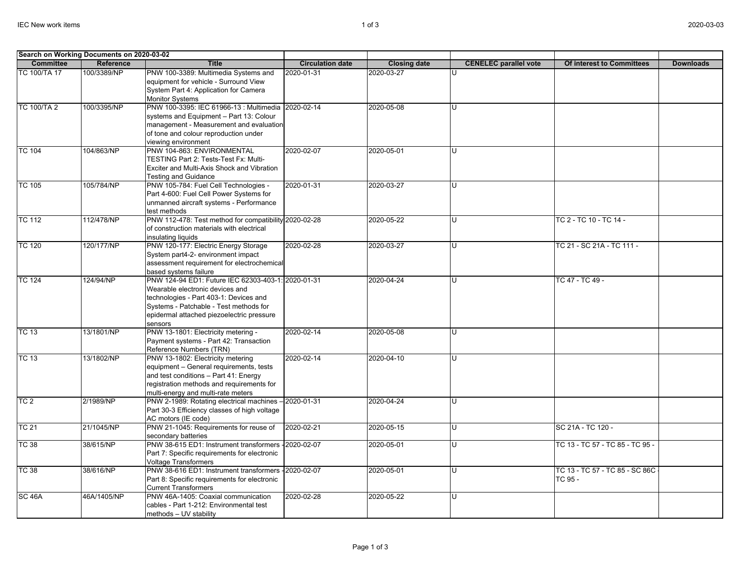| Search on Working Documents on 2020-03-02 |                                      |                                                       |                         |                     |                              |                                  |                  |
|-------------------------------------------|--------------------------------------|-------------------------------------------------------|-------------------------|---------------------|------------------------------|----------------------------------|------------------|
| <b>Committee</b>                          | Reference                            | <b>Title</b>                                          | <b>Circulation date</b> | <b>Closing date</b> | <b>CENELEC</b> parallel vote | <b>Of interest to Committees</b> | <b>Downloads</b> |
| TC 100/TA 17                              | 100/3389/NP                          | PNW 100-3389: Multimedia Systems and                  | 2020-01-31              | 2020-03-27          |                              |                                  |                  |
|                                           |                                      | equipment for vehicle - Surround View                 |                         |                     |                              |                                  |                  |
|                                           |                                      | System Part 4: Application for Camera                 |                         |                     |                              |                                  |                  |
|                                           |                                      | <b>Monitor Systems</b>                                |                         |                     |                              |                                  |                  |
| <b>TC 100/TA 2</b>                        | 100/3395/NP                          | PNW 100-3395: IEC 61966-13 : Multimedia               | 2020-02-14              | 2020-05-08          | Π                            |                                  |                  |
|                                           |                                      | systems and Equipment - Part 13: Colour               |                         |                     |                              |                                  |                  |
|                                           |                                      | management - Measurement and evaluation               |                         |                     |                              |                                  |                  |
|                                           |                                      | of tone and colour reproduction under                 |                         |                     |                              |                                  |                  |
|                                           |                                      | viewing environment                                   |                         |                     |                              |                                  |                  |
| <b>TC 104</b>                             | 104/863/NP                           | PNW 104-863: ENVIRONMENTAL                            | 2020-02-07              | 2020-05-01          | lU.                          |                                  |                  |
|                                           |                                      | TESTING Part 2: Tests-Test Fx: Multi-                 |                         |                     |                              |                                  |                  |
|                                           |                                      | Exciter and Multi-Axis Shock and Vibration            |                         |                     |                              |                                  |                  |
|                                           |                                      | <b>Testing and Guidance</b>                           |                         |                     |                              |                                  |                  |
| <b>TC 105</b>                             | 105/784/NP                           | PNW 105-784: Fuel Cell Technologies -                 | 2020-01-31              | 2020-03-27          | lΠ                           |                                  |                  |
|                                           |                                      | Part 4-600: Fuel Cell Power Systems for               |                         |                     |                              |                                  |                  |
|                                           |                                      | unmanned aircraft systems - Performance               |                         |                     |                              |                                  |                  |
|                                           |                                      | test methods                                          |                         |                     |                              |                                  |                  |
| <b>TC 112</b>                             | 112/478/NP                           | PNW 112-478: Test method for compatibility 2020-02-28 |                         | 2020-05-22          | lU.                          | TC 2 - TC 10 - TC 14 -           |                  |
|                                           |                                      | of construction materials with electrical             |                         |                     |                              |                                  |                  |
|                                           | insulating liquids                   |                                                       |                         |                     |                              |                                  |                  |
| <b>TC 120</b><br>120/177/NP               | PNW 120-177: Electric Energy Storage | 2020-02-28                                            | 2020-03-27              | lυ                  | TC 21 - SC 21A - TC 111 -    |                                  |                  |
|                                           |                                      | System part4-2- environment impact                    |                         |                     |                              |                                  |                  |
|                                           |                                      | assessment requirement for electrochemical            |                         |                     |                              |                                  |                  |
|                                           |                                      | based systems failure                                 |                         |                     |                              |                                  |                  |
| <b>TC 124</b>                             | 124/94/NP                            | PNW 124-94 ED1: Future IEC 62303-403-1: 2020-01-31    |                         | 2020-04-24          | ПT                           | TC 47 - TC 49 -                  |                  |
|                                           |                                      | Wearable electronic devices and                       |                         |                     |                              |                                  |                  |
|                                           |                                      | technologies - Part 403-1: Devices and                |                         |                     |                              |                                  |                  |
|                                           |                                      | Systems - Patchable - Test methods for                |                         |                     |                              |                                  |                  |
|                                           |                                      | epidermal attached piezoelectric pressure             |                         |                     |                              |                                  |                  |
|                                           |                                      | sensors                                               |                         |                     |                              |                                  |                  |
| <b>TC 13</b>                              | 13/1801/NP                           | PNW 13-1801: Electricity metering -                   | 2020-02-14              | 2020-05-08          | Ū                            |                                  |                  |
|                                           |                                      | Payment systems - Part 42: Transaction                |                         |                     |                              |                                  |                  |
|                                           |                                      | Reference Numbers (TRN)                               |                         |                     |                              |                                  |                  |
| <b>TC 13</b>                              | 13/1802/NP                           | PNW 13-1802: Electricity metering                     | 2020-02-14              | 2020-04-10          | lυ                           |                                  |                  |
|                                           |                                      | equipment - General requirements, tests               |                         |                     |                              |                                  |                  |
|                                           |                                      | and test conditions - Part 41: Energy                 |                         |                     |                              |                                  |                  |
|                                           |                                      | registration methods and requirements for             |                         |                     |                              |                                  |                  |
|                                           |                                      | multi-energy and multi-rate meters                    |                         |                     |                              |                                  |                  |
| TC <sub>2</sub>                           | 2/1989/NP                            | PNW 2-1989: Rotating electrical machines -            | 2020-01-31              | 2020-04-24          | Ū                            |                                  |                  |
|                                           |                                      | Part 30-3 Efficiency classes of high voltage          |                         |                     |                              |                                  |                  |
|                                           |                                      | AC motors (IE code)                                   |                         |                     |                              |                                  |                  |
| <b>TC 21</b>                              | 21/1045/NP                           | PNW 21-1045: Requirements for reuse of                | 2020-02-21              | 2020-05-15          | lU.                          | SC 21A - TC 120 -                |                  |
|                                           |                                      | secondary batteries                                   |                         |                     |                              |                                  |                  |
| <b>TC 38</b>                              | 38/615/NP                            | PNW 38-615 ED1: Instrument transformers -2020-02-07   |                         | 2020-05-01          | lυ                           | TC 13 - TC 57 - TC 85 - TC 95 -  |                  |
|                                           |                                      | Part 7: Specific requirements for electronic          |                         |                     |                              |                                  |                  |
|                                           |                                      | <b>Voltage Transformers</b>                           |                         |                     |                              |                                  |                  |
| <b>TC 38</b>                              | 38/616/NP                            | PNW 38-616 ED1: Instrument transformers -2020-02-07   |                         | 2020-05-01          | lU.                          | TC 13 - TC 57 - TC 85 - SC 86C   |                  |
|                                           |                                      | Part 8: Specific requirements for electronic          |                         |                     |                              | TC 95 -                          |                  |
|                                           |                                      | <b>Current Transformers</b>                           |                         |                     |                              |                                  |                  |
| <b>SC 46A</b>                             | 46A/1405/NP                          | PNW 46A-1405: Coaxial communication                   | 2020-02-28              | 2020-05-22          | lΠ                           |                                  |                  |
|                                           |                                      | cables - Part 1-212: Environmental test               |                         |                     |                              |                                  |                  |
|                                           |                                      | methods - UV stability                                |                         |                     |                              |                                  |                  |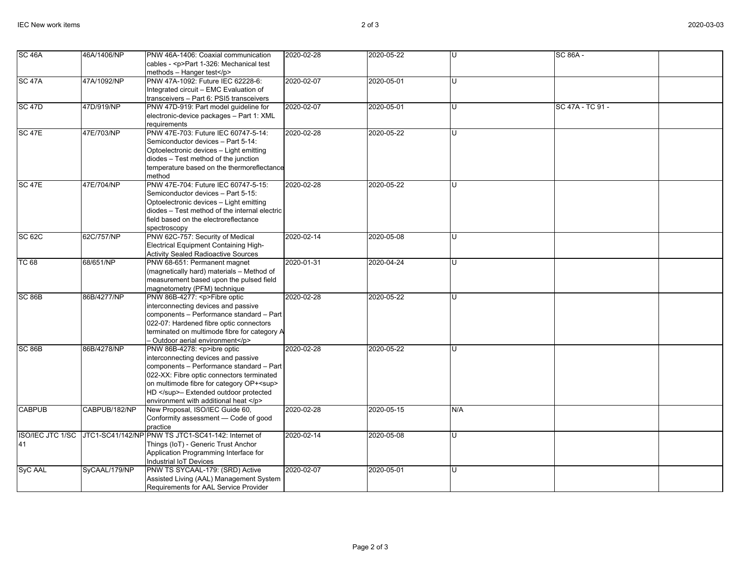| SC <sub>46A</sub>  | 46A/1406/NP   | PNW 46A-1406: Coaxial communication                              | 2020-02-28 | 2020-05-22 |     | SC 86A -         |
|--------------------|---------------|------------------------------------------------------------------|------------|------------|-----|------------------|
|                    |               | cables - <p>Part 1-326: Mechanical test</p>                      |            |            |     |                  |
|                    |               | methods - Hanger test                                            |            |            |     |                  |
| <b>SC 47A</b>      | 47A/1092/NP   | PNW 47A-1092: Future IEC 62228-6:                                | 2020-02-07 | 2020-05-01 | U   |                  |
|                    |               |                                                                  |            |            |     |                  |
|                    |               | Integrated circuit - EMC Evaluation of                           |            |            |     |                  |
|                    |               | transceivers - Part 6: PSI5 transceivers                         |            |            |     |                  |
| <b>SC 47D</b>      | 47D/919/NP    | PNW 47D-919: Part model guideline for                            | 2020-02-07 | 2020-05-01 |     | SC 47A - TC 91 - |
|                    |               | electronic-device packages - Part 1: XML                         |            |            |     |                  |
|                    |               | requirements                                                     |            |            |     |                  |
| <b>SC 47E</b>      | 47E/703/NP    | PNW 47E-703: Future IEC 60747-5-14:                              | 2020-02-28 | 2020-05-22 |     |                  |
|                    |               | Semiconductor devices - Part 5-14:                               |            |            |     |                  |
|                    |               | Optoelectronic devices - Light emitting                          |            |            |     |                  |
|                    |               | diodes - Test method of the junction                             |            |            |     |                  |
|                    |               | temperature based on the thermoreflectance                       |            |            |     |                  |
|                    |               | method                                                           |            |            |     |                  |
| SC <sub>47E</sub>  | 47E/704/NP    | PNW 47E-704: Future IEC 60747-5-15:                              | 2020-02-28 | 2020-05-22 |     |                  |
|                    |               | Semiconductor devices - Part 5-15:                               |            |            |     |                  |
|                    |               | Optoelectronic devices - Light emitting                          |            |            |     |                  |
|                    |               | diodes - Test method of the internal electric                    |            |            |     |                  |
|                    |               | field based on the electroreflectance                            |            |            |     |                  |
|                    |               | spectroscopy                                                     |            |            |     |                  |
| <b>SC 62C</b>      | 62C/757/NP    | PNW 62C-757: Security of Medical                                 | 2020-02-14 | 2020-05-08 |     |                  |
|                    |               | <b>Electrical Equipment Containing High-</b>                     |            |            |     |                  |
|                    |               | <b>Activity Sealed Radioactive Sources</b>                       |            |            |     |                  |
| <b>TC 68</b>       | 68/651/NP     | PNW 68-651: Permanent magnet                                     | 2020-01-31 | 2020-04-24 | u   |                  |
|                    |               | (magnetically hard) materials - Method of                        |            |            |     |                  |
|                    |               | measurement based upon the pulsed field                          |            |            |     |                  |
|                    |               |                                                                  |            |            |     |                  |
| SC <sub>86</sub> B | 86B/4277/NP   | magnetometry (PFM) technique<br>PNW 86B-4277: <p>Fibre optic</p> | 2020-02-28 | 2020-05-22 |     |                  |
|                    |               |                                                                  |            |            |     |                  |
|                    |               | interconnecting devices and passive                              |            |            |     |                  |
|                    |               | components - Performance standard - Part                         |            |            |     |                  |
|                    |               | 022-07: Hardened fibre optic connectors                          |            |            |     |                  |
|                    |               | terminated on multimode fibre for category A                     |            |            |     |                  |
|                    |               | - Outdoor aerial environment                                     |            |            |     |                  |
| SC <sub>86</sub> B | 86B/4278/NP   | PNW 86B-4278: < p>ibre optic                                     | 2020-02-28 | 2020-05-22 |     |                  |
|                    |               | interconnecting devices and passive                              |            |            |     |                  |
|                    |               | components - Performance standard - Part                         |            |            |     |                  |
|                    |               | 022-XX: Fibre optic connectors terminated                        |            |            |     |                  |
|                    |               | on multimode fibre for category OP+ <sup></sup>                  |            |            |     |                  |
|                    |               | HD - Extended outdoor protected                                  |            |            |     |                  |
|                    |               | environment with additional heat                                 |            |            |     |                  |
| <b>CABPUB</b>      | CABPUB/182/NP | New Proposal, ISO/IEC Guide 60,                                  | 2020-02-28 | 2020-05-15 | N/A |                  |
|                    |               | Conformity assessment - Code of good                             |            |            |     |                  |
|                    |               | practice                                                         |            |            |     |                  |
| ISO/IEC JTC 1/SC   |               | JTC1-SC41/142/NP PNW TS JTC1-SC41-142: Internet of               | 2020-02-14 | 2020-05-08 | U   |                  |
| 41                 |               | Things (IoT) - Generic Trust Anchor                              |            |            |     |                  |
|                    |               | Application Programming Interface for                            |            |            |     |                  |
|                    |               | Industrial IoT Devices                                           |            |            |     |                  |
| SyC AAL            | SyCAAL/179/NP | PNW TS SYCAAL-179: (SRD) Active                                  | 2020-02-07 | 2020-05-01 |     |                  |
|                    |               | Assisted Living (AAL) Management System                          |            |            |     |                  |
|                    |               | Requirements for AAL Service Provider                            |            |            |     |                  |
|                    |               |                                                                  |            |            |     |                  |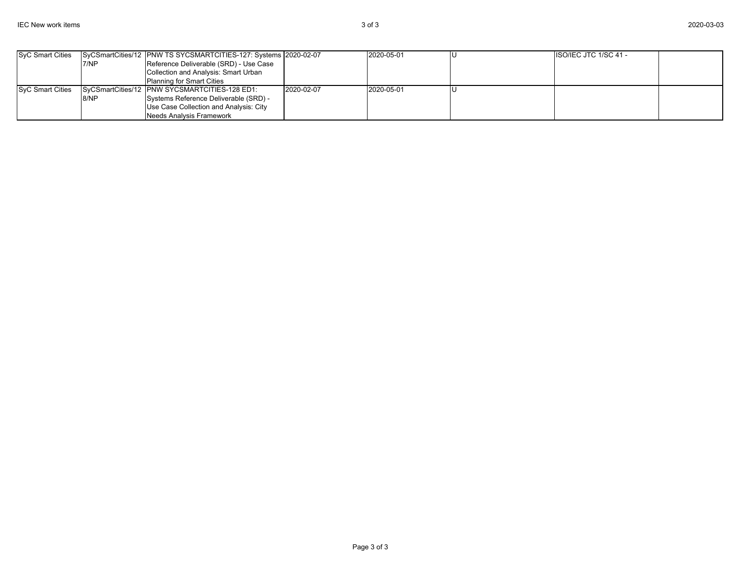| SyC Smart Cities |      | SyCSmartCities/12 PNW TS SYCSMARTCITIES-127: Systems 2020-02-07 |            | 2020-05-01 | <b>ISO/IEC JTC 1/SC 41 -</b> |  |
|------------------|------|-----------------------------------------------------------------|------------|------------|------------------------------|--|
|                  | 7/NP | Reference Deliverable (SRD) - Use Case                          |            |            |                              |  |
|                  |      | Collection and Analysis: Smart Urban                            |            |            |                              |  |
|                  |      | <b>Planning for Smart Cities</b>                                |            |            |                              |  |
| SyC Smart Cities |      | SyCSmartCities/12 PNW SYCSMARTCITIES-128 ED1:                   | 2020-02-07 | 2020-05-01 |                              |  |
|                  | 8/NP | Systems Reference Deliverable (SRD) -                           |            |            |                              |  |
|                  |      | Use Case Collection and Analysis: City                          |            |            |                              |  |
|                  |      | Needs Analysis Framework                                        |            |            |                              |  |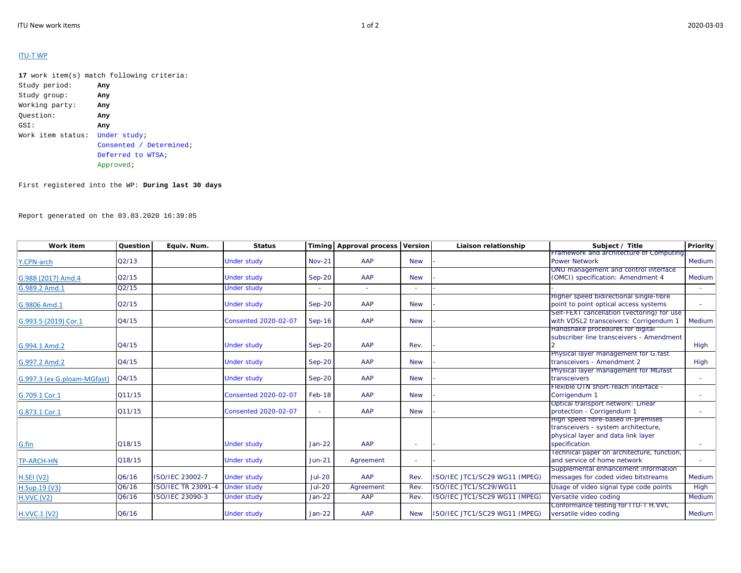## ITU‐T WP

**17** work item(s) match following criteria: Study period: **Any** Study group: **Any** Working party: **Any** Question: **Any** GSI: **Any** Work item status: Under study; Consented / Determined; Deferred to WTSA;Approved;

First registered into the WP: **During last 30 days**

Report generated on the 03.03.2020 16:39:05

| Work item                   | Question | Equiv. Num.               | <b>Status</b>               |               | Timing Approval process Version |            | Liaison relationship          | Subject / Title                                                                                                                  | Priority |
|-----------------------------|----------|---------------------------|-----------------------------|---------------|---------------------------------|------------|-------------------------------|----------------------------------------------------------------------------------------------------------------------------------|----------|
| Y.CPN-arch                  | Q2/13    |                           | <b>Under study</b>          | <b>Nov-21</b> | AAP                             | <b>New</b> |                               | Framework and architecture of Computing<br><b>Power Network</b>                                                                  | Medium   |
| G.988 (2017) Amd.4          | Q2/15    |                           | <b>Under study</b>          | $Sep-20$      | AAP                             | <b>New</b> |                               | ONU management and control interface<br>(OMCI) specification: Amendment 4                                                        | Medium   |
| G.989.2 Amd.1               | Q2/15    |                           | <b>Under study</b>          |               |                                 |            |                               |                                                                                                                                  |          |
| G.9806 Amd.1                | Q2/15    |                           | <b>Under study</b>          | $Sep-20$      | AAP                             | <b>New</b> |                               | Higher speed bidirectional single-fibre<br>point to point optical access systems                                                 |          |
| G.993.5 (2019) Cor.1        | Q4/15    |                           | <b>Consented 2020-02-07</b> | $Sep-16$      | AAP                             | <b>New</b> |                               | Self-FEXT cancellation (vectoring) for use<br>with VDSL2 transceivers: Corrigendum 1                                             | Medium   |
| G.994.1 Amd.2               | Q4/15    |                           | <b>Under study</b>          | $Sep-20$      | AAP                             | Rev.       |                               | Handshake procedures for digital<br>subscriber line transceivers - Amendment                                                     | High     |
| G.997.2 Amd.2               | Q4/15    |                           | <b>Under study</b>          | $Sep-20$      | AAP                             | <b>New</b> |                               | Physical layer management for G.fast<br>transceivers - Amendment 2                                                               | High     |
| G.997.3 (ex G.ploam-MGfast) | Q4/15    |                           | Under study                 | $Sep-20$      | AAP                             | <b>New</b> |                               | Physical layer management for MGfast<br>transceivers                                                                             |          |
| G.709.1 Cor.1               | Q11/15   |                           | <b>Consented 2020-02-07</b> | Feb-18        | AAP                             | <b>New</b> |                               | Flexible OTN short-reach interface -<br>Corrigendum 1                                                                            |          |
| G.873.1 Cor.1               | Q11/15   |                           | <b>Consented 2020-02-07</b> | $\sim$        | AAP                             | <b>New</b> |                               | Optical transport network: Linear<br>protection - Corrigendum 1                                                                  |          |
| G.fin                       | Q18/15   |                           | <b>Under study</b>          | $Jan-22$      | AAP                             | $\sim$     |                               | High speed fibre-based in-premises<br>transceivers - system architecture,<br>physical layer and data link layer<br>specification |          |
| <b>TP-ARCH-HN</b>           | Q18/15   |                           | <b>Under study</b>          | $Jun-21$      | Agreement                       |            |                               | Technical paper on architecture, function,<br>and service of home network                                                        |          |
| H.SEI (V2)                  | Q6/16    | ISO/IEC 23002-7           | <b>Under study</b>          | <b>Jul-20</b> | AAP                             | Rev.       | ISO/IEC JTC1/SC29 WG11 (MPEG) | Supplemental enhancement information<br>messages for coded video bitstreams                                                      | Medium   |
| H.Sup.19 (V3)               | Q6/16    | <b>ISO/IEC TR 23091-4</b> | Under study                 | <b>Jul-20</b> | Agreement                       | Rev.       | ISO/IEC JTC1/SC29/WG11        | Usage of video signal type code points                                                                                           | High     |
| <b>H.VVC (V2)</b>           | Q6/16    | ISO/IEC 23090-3           | <b>Under study</b>          | $Jan-22$      | AAP                             | Rev.       | ISO/IEC JTC1/SC29 WG11 (MPEG) | Versatile video coding                                                                                                           | Medium   |
| <b>H.VVC.1 (V2)</b>         | Q6/16    |                           | <b>Under study</b>          | $Jan-22$      | AAP                             | <b>New</b> | ISO/IEC JTC1/SC29 WG11 (MPEG) | Conformance testing for ITU-T H.VVC<br>versatile video coding                                                                    | Medium   |